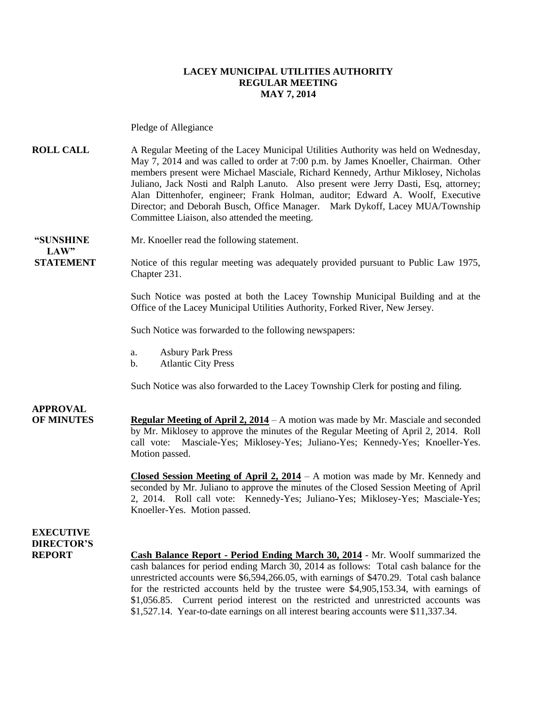#### **LACEY MUNICIPAL UTILITIES AUTHORITY REGULAR MEETING MAY 7, 2014**

Pledge of Allegiance

**ROLL CALL** A Regular Meeting of the Lacey Municipal Utilities Authority was held on Wednesday, May 7, 2014 and was called to order at 7:00 p.m. by James Knoeller, Chairman. Other members present were Michael Masciale, Richard Kennedy, Arthur Miklosey, Nicholas Juliano, Jack Nosti and Ralph Lanuto. Also present were Jerry Dasti, Esq, attorney; Alan Dittenhofer, engineer; Frank Holman, auditor; Edward A. Woolf, Executive Director; and Deborah Busch, Office Manager. Mark Dykoff, Lacey MUA/Township Committee Liaison, also attended the meeting.

**"SUNSHINE** Mr. Knoeller read the following statement.  $LAW"$ 

**STATEMENT** Notice of this regular meeting was adequately provided pursuant to Public Law 1975, Chapter 231.

> Such Notice was posted at both the Lacey Township Municipal Building and at the Office of the Lacey Municipal Utilities Authority, Forked River, New Jersey.

Such Notice was forwarded to the following newspapers:

- a. Asbury Park Press
- b. Atlantic City Press

Such Notice was also forwarded to the Lacey Township Clerk for posting and filing.

### **APPROVAL**

**OF MINUTES Regular Meeting of April 2, 2014** – A motion was made by Mr. Masciale and seconded by Mr. Miklosey to approve the minutes of the Regular Meeting of April 2, 2014. Roll call vote: Masciale-Yes; Miklosey-Yes; Juliano-Yes; Kennedy-Yes; Knoeller-Yes. Motion passed.

> **Closed Session Meeting of April 2, 2014** – A motion was made by Mr. Kennedy and seconded by Mr. Juliano to approve the minutes of the Closed Session Meeting of April 2, 2014. Roll call vote: Kennedy-Yes; Juliano-Yes; Miklosey-Yes; Masciale-Yes; Knoeller-Yes. Motion passed.

### **EXECUTIVE DIRECTOR'S**

**REPORT Cash Balance Report - Period Ending March 30, 2014** - Mr. Woolf summarized the cash balances for period ending March 30, 2014 as follows: Total cash balance for the unrestricted accounts were \$6,594,266.05, with earnings of \$470.29. Total cash balance for the restricted accounts held by the trustee were \$4,905,153.34, with earnings of \$1,056.85. Current period interest on the restricted and unrestricted accounts was \$1,527.14. Year-to-date earnings on all interest bearing accounts were \$11,337.34.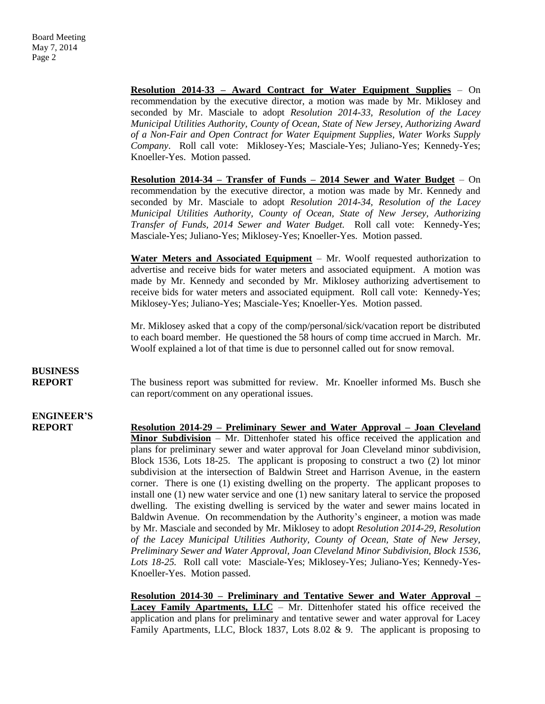**Resolution 2014-33 – Award Contract for Water Equipment Supplies** – On recommendation by the executive director, a motion was made by Mr. Miklosey and seconded by Mr. Masciale to adopt *Resolution 2014-33, Resolution of the Lacey Municipal Utilities Authority, County of Ocean, State of New Jersey, Authorizing Award of a Non-Fair and Open Contract for Water Equipment Supplies, Water Works Supply Company*. Roll call vote: Miklosey-Yes; Masciale-Yes; Juliano-Yes; Kennedy-Yes; Knoeller-Yes. Motion passed.

**Resolution 2014-34 – Transfer of Funds – 2014 Sewer and Water Budget** – On recommendation by the executive director, a motion was made by Mr. Kennedy and seconded by Mr. Masciale to adopt *Resolution 2014-34, Resolution of the Lacey Municipal Utilities Authority, County of Ocean, State of New Jersey, Authorizing Transfer of Funds, 2014 Sewer and Water Budget.* Roll call vote: Kennedy-Yes; Masciale-Yes; Juliano-Yes; Miklosey-Yes; Knoeller-Yes. Motion passed.

**Water Meters and Associated Equipment** – Mr. Woolf requested authorization to advertise and receive bids for water meters and associated equipment. A motion was made by Mr. Kennedy and seconded by Mr. Miklosey authorizing advertisement to receive bids for water meters and associated equipment. Roll call vote: Kennedy-Yes; Miklosey-Yes; Juliano-Yes; Masciale-Yes; Knoeller-Yes. Motion passed.

Mr. Miklosey asked that a copy of the comp/personal/sick/vacation report be distributed to each board member. He questioned the 58 hours of comp time accrued in March. Mr. Woolf explained a lot of that time is due to personnel called out for snow removal.

## **BUSINESS**

**REPORT** The business report was submitted for review. Mr. Knoeller informed Ms. Busch she can report/comment on any operational issues.

## **ENGINEER'S**

**REPORT Resolution 2014-29 – Preliminary Sewer and Water Approval – Joan Cleveland Minor Subdivision** – Mr. Dittenhofer stated his office received the application and plans for preliminary sewer and water approval for Joan Cleveland minor subdivision, Block 1536, Lots 18-25. The applicant is proposing to construct a two (2) lot minor subdivision at the intersection of Baldwin Street and Harrison Avenue, in the eastern corner. There is one (1) existing dwelling on the property. The applicant proposes to install one (1) new water service and one (1) new sanitary lateral to service the proposed dwelling. The existing dwelling is serviced by the water and sewer mains located in Baldwin Avenue. On recommendation by the Authority's engineer, a motion was made by Mr. Masciale and seconded by Mr. Miklosey to adopt *Resolution 2014-29, Resolution of the Lacey Municipal Utilities Authority, County of Ocean, State of New Jersey, Preliminary Sewer and Water Approval, Joan Cleveland Minor Subdivision, Block 1536, Lots 18-25.* Roll call vote: Masciale-Yes; Miklosey-Yes; Juliano-Yes; Kennedy-Yes-Knoeller-Yes. Motion passed.

> **Resolution 2014-30 – Preliminary and Tentative Sewer and Water Approval –** Lacey Family Apartments, LLC – Mr. Dittenhofer stated his office received the application and plans for preliminary and tentative sewer and water approval for Lacey Family Apartments, LLC, Block 1837, Lots 8.02 & 9. The applicant is proposing to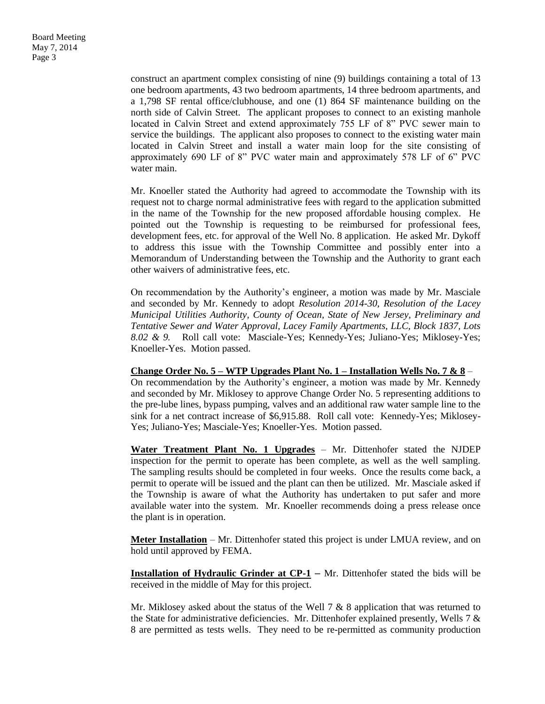construct an apartment complex consisting of nine (9) buildings containing a total of 13 one bedroom apartments, 43 two bedroom apartments, 14 three bedroom apartments, and a 1,798 SF rental office/clubhouse, and one (1) 864 SF maintenance building on the north side of Calvin Street. The applicant proposes to connect to an existing manhole located in Calvin Street and extend approximately 755 LF of 8" PVC sewer main to service the buildings. The applicant also proposes to connect to the existing water main located in Calvin Street and install a water main loop for the site consisting of approximately 690 LF of 8" PVC water main and approximately 578 LF of 6" PVC water main.

Mr. Knoeller stated the Authority had agreed to accommodate the Township with its request not to charge normal administrative fees with regard to the application submitted in the name of the Township for the new proposed affordable housing complex. He pointed out the Township is requesting to be reimbursed for professional fees, development fees, etc. for approval of the Well No. 8 application. He asked Mr. Dykoff to address this issue with the Township Committee and possibly enter into a Memorandum of Understanding between the Township and the Authority to grant each other waivers of administrative fees, etc.

On recommendation by the Authority's engineer, a motion was made by Mr. Masciale and seconded by Mr. Kennedy to adopt *Resolution 2014-30, Resolution of the Lacey Municipal Utilities Authority, County of Ocean, State of New Jersey, Preliminary and Tentative Sewer and Water Approval, Lacey Family Apartments, LLC, Block 1837, Lots 8.02 & 9.* Roll call vote: Masciale-Yes; Kennedy-Yes; Juliano-Yes; Miklosey-Yes; Knoeller-Yes. Motion passed.

#### **Change Order No. 5 – WTP Upgrades Plant No. 1 – Installation Wells No. 7 & 8** –

On recommendation by the Authority's engineer, a motion was made by Mr. Kennedy and seconded by Mr. Miklosey to approve Change Order No. 5 representing additions to the pre-lube lines, bypass pumping, valves and an additional raw water sample line to the sink for a net contract increase of \$6,915.88. Roll call vote: Kennedy-Yes; Miklosey-Yes; Juliano-Yes; Masciale-Yes; Knoeller-Yes. Motion passed.

Water Treatment Plant No. 1 Upgrades - Mr. Dittenhofer stated the NJDEP inspection for the permit to operate has been complete, as well as the well sampling. The sampling results should be completed in four weeks. Once the results come back, a permit to operate will be issued and the plant can then be utilized. Mr. Masciale asked if the Township is aware of what the Authority has undertaken to put safer and more available water into the system. Mr. Knoeller recommends doing a press release once the plant is in operation.

**Meter Installation** – Mr. Dittenhofer stated this project is under LMUA review, and on hold until approved by FEMA.

**Installation of Hydraulic Grinder at CP-1** – Mr. Dittenhofer stated the bids will be received in the middle of May for this project.

Mr. Miklosey asked about the status of the Well  $7 & 8$  application that was returned to the State for administrative deficiencies. Mr. Dittenhofer explained presently, Wells 7  $\&$ 8 are permitted as tests wells. They need to be re-permitted as community production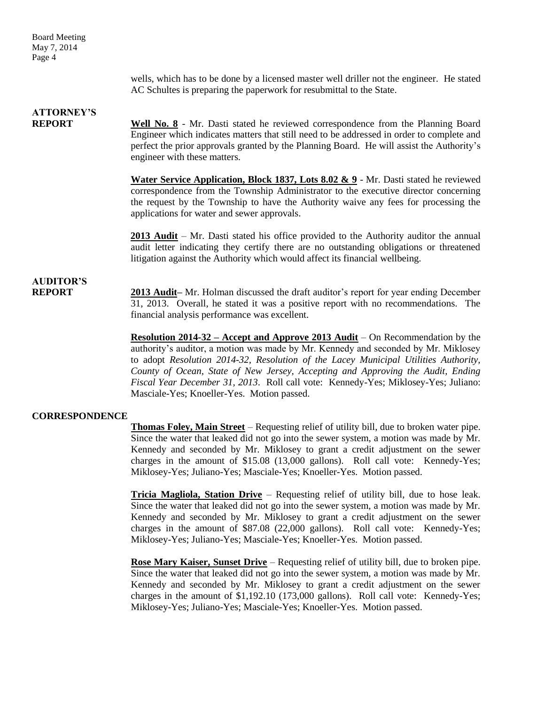Board Meeting May 7, 2014 Page 4

> wells, which has to be done by a licensed master well driller not the engineer. He stated AC Schultes is preparing the paperwork for resubmittal to the State.

### **ATTORNEY'S**

**REPORT Well No. 8** - Mr. Dasti stated he reviewed correspondence from the Planning Board Engineer which indicates matters that still need to be addressed in order to complete and perfect the prior approvals granted by the Planning Board. He will assist the Authority's engineer with these matters.

> **Water Service Application, Block 1837, Lots 8.02 & 9** - Mr. Dasti stated he reviewed correspondence from the Township Administrator to the executive director concerning the request by the Township to have the Authority waive any fees for processing the applications for water and sewer approvals.

> **2013 Audit** – Mr. Dasti stated his office provided to the Authority auditor the annual audit letter indicating they certify there are no outstanding obligations or threatened litigation against the Authority which would affect its financial wellbeing.

# **AUDITOR'S**

**REPORT 2013 Audit–** Mr. Holman discussed the draft auditor's report for year ending December 31, 2013. Overall, he stated it was a positive report with no recommendations. The financial analysis performance was excellent.

> **Resolution 2014-32 – Accept and Approve 2013 Audit** – On Recommendation by the authority's auditor, a motion was made by Mr. Kennedy and seconded by Mr. Miklosey to adopt *Resolution 2014-32, Resolution of the Lacey Municipal Utilities Authority, County of Ocean, State of New Jersey, Accepting and Approving the Audit, Ending Fiscal Year December 31, 2013*. Roll call vote: Kennedy-Yes; Miklosey-Yes; Juliano: Masciale-Yes; Knoeller-Yes. Motion passed.

### **CORRESPONDENCE**

**Thomas Foley, Main Street** – Requesting relief of utility bill, due to broken water pipe. Since the water that leaked did not go into the sewer system, a motion was made by Mr. Kennedy and seconded by Mr. Miklosey to grant a credit adjustment on the sewer charges in the amount of \$15.08 (13,000 gallons). Roll call vote: Kennedy-Yes; Miklosey-Yes; Juliano-Yes; Masciale-Yes; Knoeller-Yes. Motion passed.

**Tricia Magliola, Station Drive** – Requesting relief of utility bill, due to hose leak. Since the water that leaked did not go into the sewer system, a motion was made by Mr. Kennedy and seconded by Mr. Miklosey to grant a credit adjustment on the sewer charges in the amount of \$87.08 (22,000 gallons). Roll call vote: Kennedy-Yes; Miklosey-Yes; Juliano-Yes; Masciale-Yes; Knoeller-Yes. Motion passed.

**Rose Mary Kaiser, Sunset Drive** – Requesting relief of utility bill, due to broken pipe. Since the water that leaked did not go into the sewer system, a motion was made by Mr. Kennedy and seconded by Mr. Miklosey to grant a credit adjustment on the sewer charges in the amount of \$1,192.10 (173,000 gallons). Roll call vote: Kennedy-Yes; Miklosey-Yes; Juliano-Yes; Masciale-Yes; Knoeller-Yes. Motion passed.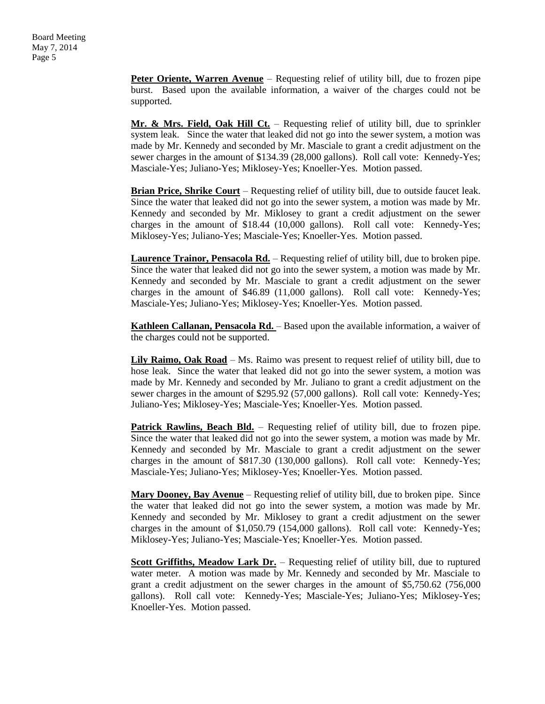**Peter Oriente, Warren Avenue** – Requesting relief of utility bill, due to frozen pipe burst. Based upon the available information, a waiver of the charges could not be supported.

**Mr. & Mrs. Field, Oak Hill Ct.** – Requesting relief of utility bill, due to sprinkler system leak. Since the water that leaked did not go into the sewer system, a motion was made by Mr. Kennedy and seconded by Mr. Masciale to grant a credit adjustment on the sewer charges in the amount of \$134.39 (28,000 gallons). Roll call vote: Kennedy-Yes; Masciale-Yes; Juliano-Yes; Miklosey-Yes; Knoeller-Yes. Motion passed.

**Brian Price, Shrike Court** – Requesting relief of utility bill, due to outside faucet leak. Since the water that leaked did not go into the sewer system, a motion was made by Mr. Kennedy and seconded by Mr. Miklosey to grant a credit adjustment on the sewer charges in the amount of \$18.44 (10,000 gallons). Roll call vote: Kennedy-Yes; Miklosey-Yes; Juliano-Yes; Masciale-Yes; Knoeller-Yes. Motion passed.

**Laurence Trainor, Pensacola Rd.** – Requesting relief of utility bill, due to broken pipe. Since the water that leaked did not go into the sewer system, a motion was made by Mr. Kennedy and seconded by Mr. Masciale to grant a credit adjustment on the sewer charges in the amount of \$46.89 (11,000 gallons). Roll call vote: Kennedy-Yes; Masciale-Yes; Juliano-Yes; Miklosey-Yes; Knoeller-Yes. Motion passed.

**Kathleen Callanan, Pensacola Rd.** – Based upon the available information, a waiver of the charges could not be supported.

**Lily Raimo, Oak Road** – Ms. Raimo was present to request relief of utility bill, due to hose leak. Since the water that leaked did not go into the sewer system, a motion was made by Mr. Kennedy and seconded by Mr. Juliano to grant a credit adjustment on the sewer charges in the amount of \$295.92 (57,000 gallons). Roll call vote: Kennedy-Yes; Juliano-Yes; Miklosey-Yes; Masciale-Yes; Knoeller-Yes. Motion passed.

**Patrick Rawlins, Beach Bld.** – Requesting relief of utility bill, due to frozen pipe. Since the water that leaked did not go into the sewer system, a motion was made by Mr. Kennedy and seconded by Mr. Masciale to grant a credit adjustment on the sewer charges in the amount of \$817.30 (130,000 gallons). Roll call vote: Kennedy-Yes; Masciale-Yes; Juliano-Yes; Miklosey-Yes; Knoeller-Yes. Motion passed.

**Mary Dooney, Bay Avenue** – Requesting relief of utility bill, due to broken pipe. Since the water that leaked did not go into the sewer system, a motion was made by Mr. Kennedy and seconded by Mr. Miklosey to grant a credit adjustment on the sewer charges in the amount of \$1,050.79 (154,000 gallons). Roll call vote: Kennedy-Yes; Miklosey-Yes; Juliano-Yes; Masciale-Yes; Knoeller-Yes. Motion passed.

**Scott Griffiths, Meadow Lark Dr.** – Requesting relief of utility bill, due to ruptured water meter. A motion was made by Mr. Kennedy and seconded by Mr. Masciale to grant a credit adjustment on the sewer charges in the amount of \$5,750.62 (756,000 gallons). Roll call vote: Kennedy-Yes; Masciale-Yes; Juliano-Yes; Miklosey-Yes; Knoeller-Yes. Motion passed.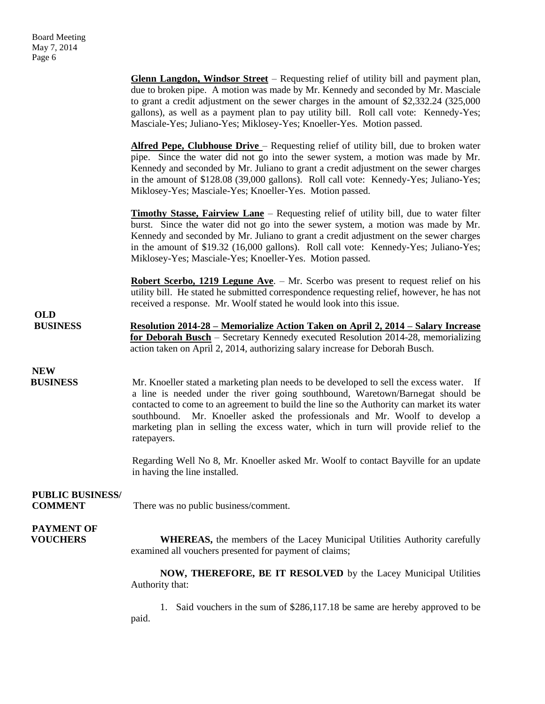**Glenn Langdon, Windsor Street** – Requesting relief of utility bill and payment plan, due to broken pipe. A motion was made by Mr. Kennedy and seconded by Mr. Masciale to grant a credit adjustment on the sewer charges in the amount of \$2,332.24 (325,000 gallons), as well as a payment plan to pay utility bill. Roll call vote: Kennedy-Yes; Masciale-Yes; Juliano-Yes; Miklosey-Yes; Knoeller-Yes. Motion passed. **Alfred Pepe, Clubhouse Drive** – Requesting relief of utility bill, due to broken water pipe. Since the water did not go into the sewer system, a motion was made by Mr. Kennedy and seconded by Mr. Juliano to grant a credit adjustment on the sewer charges in the amount of \$128.08 (39,000 gallons). Roll call vote: Kennedy-Yes; Juliano-Yes; Miklosey-Yes; Masciale-Yes; Knoeller-Yes. Motion passed. **Timothy Stasse, Fairview Lane** – Requesting relief of utility bill, due to water filter burst. Since the water did not go into the sewer system, a motion was made by Mr. Kennedy and seconded by Mr. Juliano to grant a credit adjustment on the sewer charges in the amount of \$19.32 (16,000 gallons). Roll call vote: Kennedy-Yes; Juliano-Yes; Miklosey-Yes; Masciale-Yes; Knoeller-Yes. Motion passed. **Robert Scerbo, 1219 Legune Ave**. – Mr. Scerbo was present to request relief on his utility bill. He stated he submitted correspondence requesting relief, however, he has not received a response. Mr. Woolf stated he would look into this issue. **OLD BUSINESS Resolution 2014-28 – Memorialize Action Taken on April 2, 2014 – Salary Increase for Deborah Busch** – Secretary Kennedy executed Resolution 2014-28, memorializing action taken on April 2, 2014, authorizing salary increase for Deborah Busch. **NEW BUSINESS** Mr. Knoeller stated a marketing plan needs to be developed to sell the excess water. If a line is needed under the river going southbound, Waretown/Barnegat should be contacted to come to an agreement to build the line so the Authority can market its water southbound. Mr. Knoeller asked the professionals and Mr. Woolf to develop a marketing plan in selling the excess water, which in turn will provide relief to the ratepayers. Regarding Well No 8, Mr. Knoeller asked Mr. Woolf to contact Bayville for an update in having the line installed. **PUBLIC BUSINESS/ COMMENT** There was no public business/comment. **PAYMENT OF VOUCHERS** WHEREAS, the members of the Lacey Municipal Utilities Authority carefully examined all vouchers presented for payment of claims; **NOW, THEREFORE, BE IT RESOLVED** by the Lacey Municipal Utilities Authority that: 1. Said vouchers in the sum of \$286,117.18 be same are hereby approved to be paid.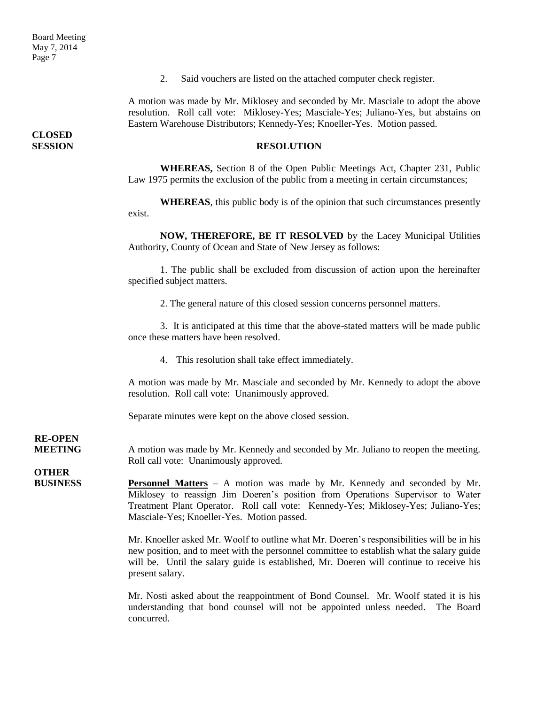2. Said vouchers are listed on the attached computer check register.

A motion was made by Mr. Miklosey and seconded by Mr. Masciale to adopt the above resolution. Roll call vote: Miklosey-Yes; Masciale-Yes; Juliano-Yes, but abstains on Eastern Warehouse Distributors; Kennedy-Yes; Knoeller-Yes. Motion passed.

#### **SESSION RESOLUTION**

**WHEREAS,** Section 8 of the Open Public Meetings Act, Chapter 231, Public Law 1975 permits the exclusion of the public from a meeting in certain circumstances;

**WHEREAS**, this public body is of the opinion that such circumstances presently exist.

**NOW, THEREFORE, BE IT RESOLVED** by the Lacey Municipal Utilities Authority, County of Ocean and State of New Jersey as follows:

1. The public shall be excluded from discussion of action upon the hereinafter specified subject matters.

2. The general nature of this closed session concerns personnel matters.

3. It is anticipated at this time that the above-stated matters will be made public once these matters have been resolved.

4. This resolution shall take effect immediately.

A motion was made by Mr. Masciale and seconded by Mr. Kennedy to adopt the above resolution. Roll call vote: Unanimously approved.

Separate minutes were kept on the above closed session.

## **RE-OPEN**

**MEETING** A motion was made by Mr. Kennedy and seconded by Mr. Juliano to reopen the meeting. Roll call vote: Unanimously approved.

**OTHER** 

**BUSINESS Personnel Matters** – A motion was made by Mr. Kennedy and seconded by Mr. Miklosey to reassign Jim Doeren's position from Operations Supervisor to Water Treatment Plant Operator. Roll call vote: Kennedy-Yes; Miklosey-Yes; Juliano-Yes; Masciale-Yes; Knoeller-Yes. Motion passed.

> Mr. Knoeller asked Mr. Woolf to outline what Mr. Doeren's responsibilities will be in his new position, and to meet with the personnel committee to establish what the salary guide will be. Until the salary guide is established, Mr. Doeren will continue to receive his present salary.

> Mr. Nosti asked about the reappointment of Bond Counsel. Mr. Woolf stated it is his understanding that bond counsel will not be appointed unless needed. The Board concurred.

**CLOSED**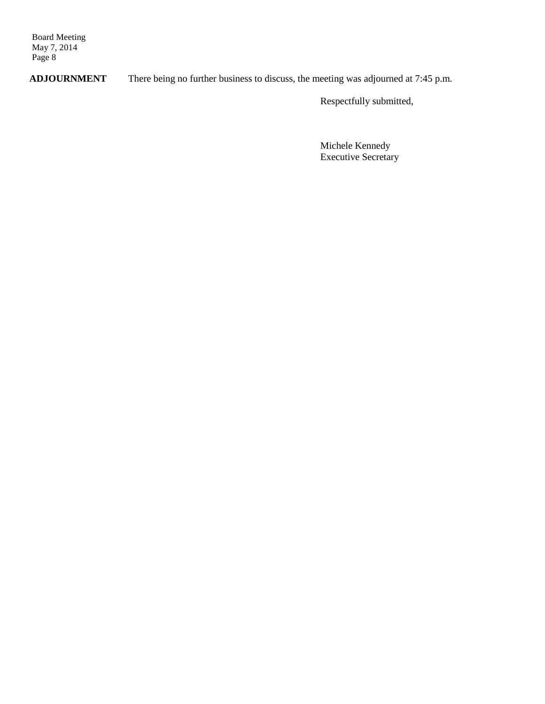Board Meeting May 7, 2014 Page 8

**ADJOURNMENT** There being no further business to discuss, the meeting was adjourned at 7:45 p.m.

Respectfully submitted,

Michele Kennedy Executive Secretary